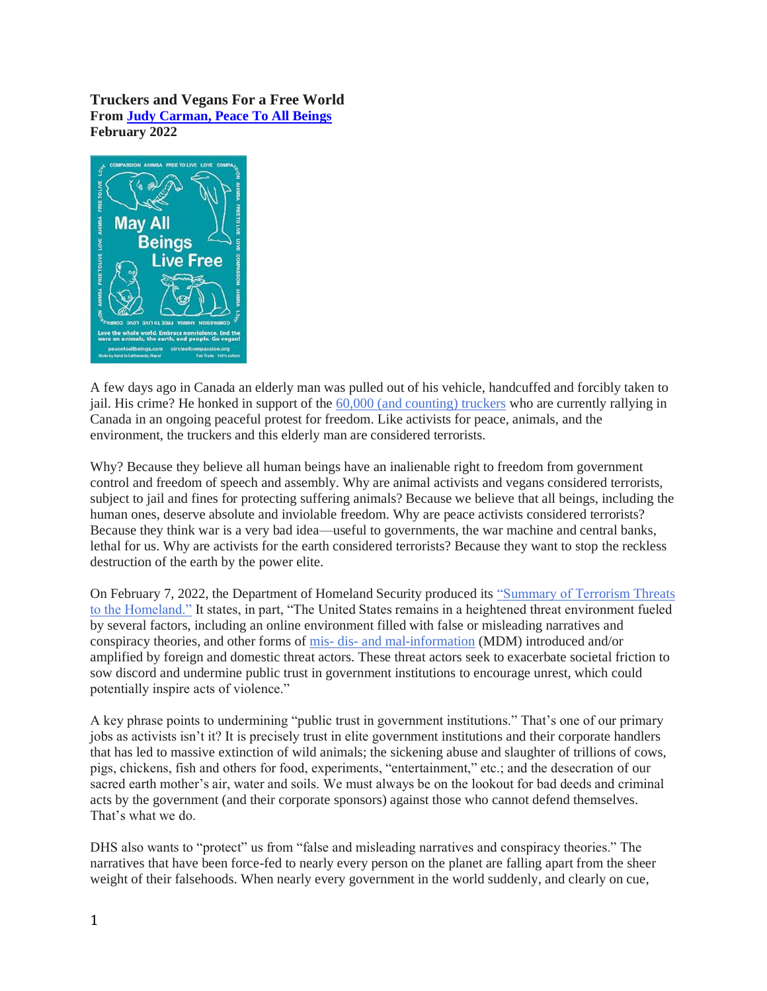## **Truckers and Vegans For a Free World From [Judy Carman, Peace To All Beings](https://peacetoallbeings.blogspot.com/) February 2022**



A few days ago in Canada an elderly man was pulled out of his vehicle, handcuffed and forcibly taken to jail. His crime? He honked in support of the [60,000 \(and counting\) truckers](https://video.search.yahoo.com/search/video?fr=mcafee&ei=UTF-8&p=KEEP+ON+TRUCKING+IN+THE+FREE+WORLD&type=E211US0G0#id=2&vid=4b32f5ec8d163b192848a56c342e842c&action=view) who are currently rallying in Canada in an ongoing peaceful protest for freedom. Like activists for peace, animals, and the environment, the truckers and this elderly man are considered terrorists.

Why? Because they believe all human beings have an inalienable right to freedom from government control and freedom of speech and assembly. Why are animal activists and vegans considered terrorists, subject to jail and fines for protecting suffering animals? Because we believe that all beings, including the human ones, deserve absolute and inviolable freedom. Why are peace activists considered terrorists? Because they think war is a very bad idea—useful to governments, the war machine and central banks, lethal for us. Why are activists for the earth considered terrorists? Because they want to stop the reckless destruction of the earth by the power elite.

On February 7, 2022, the Department of Homeland Security produced its ["Summary of Terrorism Threats](https://www.dhs.gov/ntas/advisory/national-terrorism-advisory-system-bulletin-february-07-2022)  [to the Homeland."](https://www.dhs.gov/ntas/advisory/national-terrorism-advisory-system-bulletin-february-07-2022) It states, in part, "The United States remains in a heightened threat environment fueled by several factors, including an online environment filled with false or misleading narratives and conspiracy theories, and other forms of mis- dis- [and mal-information](https://www.cisa.gov/mdm) (MDM) introduced and/or amplified by foreign and domestic threat actors. These threat actors seek to exacerbate societal friction to sow discord and undermine public trust in government institutions to encourage unrest, which could potentially inspire acts of violence."

A key phrase points to undermining "public trust in government institutions." That's one of our primary jobs as activists isn't it? It is precisely trust in elite government institutions and their corporate handlers that has led to massive extinction of wild animals; the sickening abuse and slaughter of trillions of cows, pigs, chickens, fish and others for food, experiments, "entertainment," etc.; and the desecration of our sacred earth mother's air, water and soils. We must always be on the lookout for bad deeds and criminal acts by the government (and their corporate sponsors) against those who cannot defend themselves. That's what we do.

DHS also wants to "protect" us from "false and misleading narratives and conspiracy theories." The narratives that have been force-fed to nearly every person on the planet are falling apart from the sheer weight of their falsehoods. When nearly every government in the world suddenly, and clearly on cue,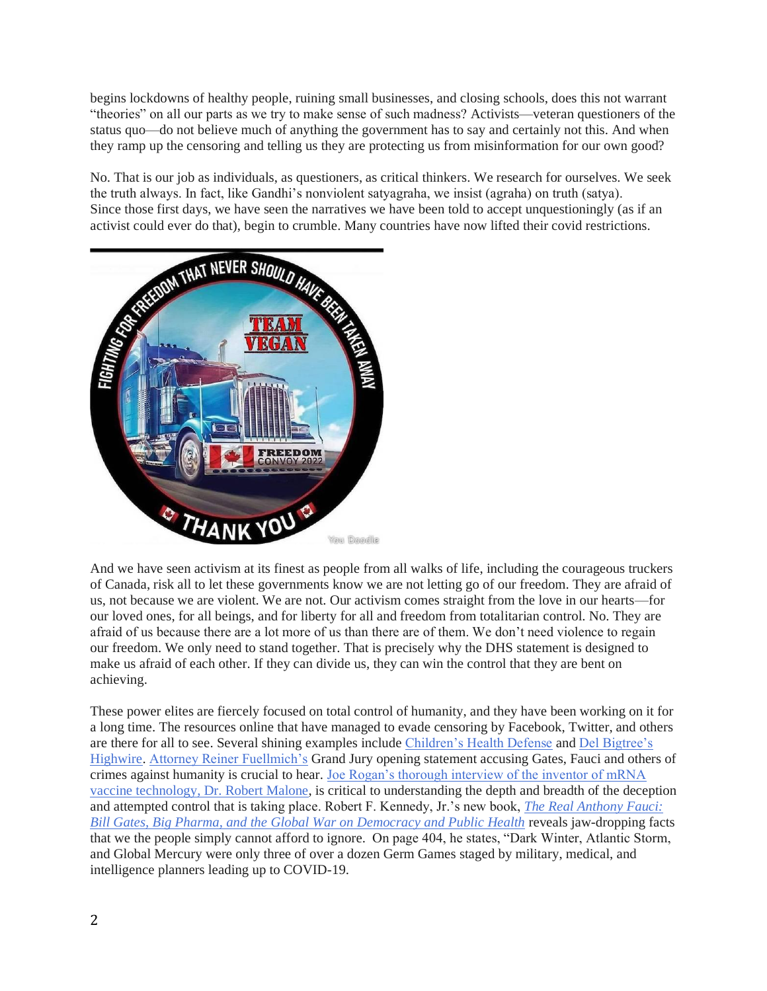begins lockdowns of healthy people, ruining small businesses, and closing schools, does this not warrant "theories" on all our parts as we try to make sense of such madness? Activists—veteran questioners of the status quo—do not believe much of anything the government has to say and certainly not this. And when they ramp up the censoring and telling us they are protecting us from misinformation for our own good?

No. That is our job as individuals, as questioners, as critical thinkers. We research for ourselves. We seek the truth always. In fact, like Gandhi's nonviolent satyagraha, we insist (agraha) on truth (satya). Since those first days, we have seen the narratives we have been told to accept unquestioningly (as if an



And we have seen activism at its finest as people from all walks of life, including the courageous truckers of Canada, risk all to let these governments know we are not letting go of our freedom. They are afraid of us, not because we are violent. We are not. Our activism comes straight from the love in our hearts—for our loved ones, for all beings, and for liberty for all and freedom from totalitarian control. No. They are afraid of us because there are a lot more of us than there are of them. We don't need violence to regain our freedom. We only need to stand together. That is precisely why the DHS statement is designed to make us afraid of each other. If they can divide us, they can win the control that they are bent on achieving.

These power elites are fiercely focused on total control of humanity, and they have been working on it for a long time. The resources online that have managed to evade censoring by Facebook, Twitter, and others are there for all to see. Several shining examples include [Children's Health Defense](https://childrenshealthdefense.org/) and [Del Bigtree's](https://thehighwire.com/)  [Highwire.](https://thehighwire.com/) [Attorney Reiner Fuellmich's](https://bluecat.media/grand-jury-day-1-opening-statements/) Grand Jury opening statement accusing Gates, Fauci and others of crimes against humanity is crucial to hear. [Joe Rogan's thorough interview of the inventor of mRNA](https://childrenshealthdefense.org/defender/joe-rogan-robert-malone-interview-covid-vaccine/)  [vaccine technology, Dr. Robert Malone,](https://childrenshealthdefense.org/defender/joe-rogan-robert-malone-interview-covid-vaccine/) is critical to understanding the depth and breadth of the deception and attempted control that is taking place. Robert F. Kennedy, Jr.'s new book, *[The Real Anthony Fauci:](https://www.amazon.com/Real-Anthony-Fauci-Democracy-Childrens/dp/1510766804/ref=sr_1_2?adgrpid=1344703829706141&hvadid=84044141014352&hvbmt=bp&hvdev=c&hvlocphy=50247&hvnetw=o&hvqmt=p&hvtargid=kwd-84044725125840%3Aloc-190&hydadcr=22532_10751875&keywords=kennedy+fauci&qid=1644990517&sr=8-2)  [Bill Gates, Big Pharma, and the Global War on Democracy and Public Health](https://www.amazon.com/Real-Anthony-Fauci-Democracy-Childrens/dp/1510766804/ref=sr_1_2?adgrpid=1344703829706141&hvadid=84044141014352&hvbmt=bp&hvdev=c&hvlocphy=50247&hvnetw=o&hvqmt=p&hvtargid=kwd-84044725125840%3Aloc-190&hydadcr=22532_10751875&keywords=kennedy+fauci&qid=1644990517&sr=8-2)* reveals jaw-dropping facts that we the people simply cannot afford to ignore. On page 404, he states, "Dark Winter, Atlantic Storm, and Global Mercury were only three of over a dozen Germ Games staged by military, medical, and intelligence planners leading up to COVID-19.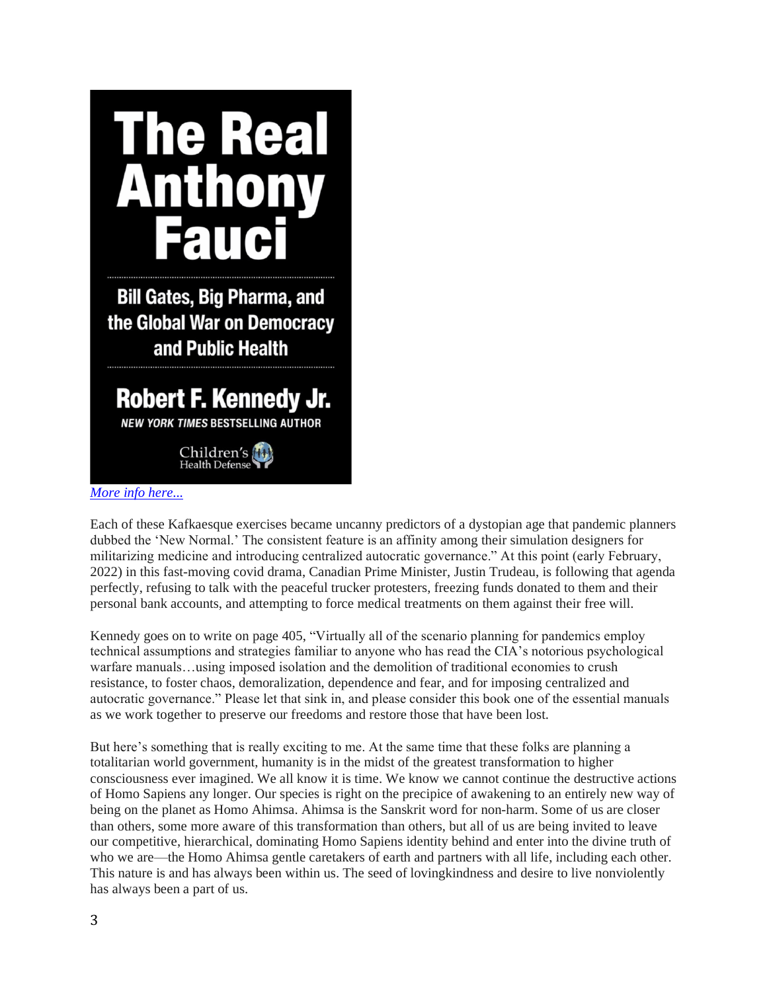

*[More info here...](https://www.all-creatures.org/book/r-real-anthony-fauci.html)*

Each of these Kafkaesque exercises became uncanny predictors of a dystopian age that pandemic planners dubbed the 'New Normal.' The consistent feature is an affinity among their simulation designers for militarizing medicine and introducing centralized autocratic governance." At this point (early February, 2022) in this fast-moving covid drama, Canadian Prime Minister, Justin Trudeau, is following that agenda perfectly, refusing to talk with the peaceful trucker protesters, freezing funds donated to them and their personal bank accounts, and attempting to force medical treatments on them against their free will.

Kennedy goes on to write on page 405, "Virtually all of the scenario planning for pandemics employ technical assumptions and strategies familiar to anyone who has read the CIA's notorious psychological warfare manuals…using imposed isolation and the demolition of traditional economies to crush resistance, to foster chaos, demoralization, dependence and fear, and for imposing centralized and autocratic governance." Please let that sink in, and please consider this book one of the essential manuals as we work together to preserve our freedoms and restore those that have been lost.

But here's something that is really exciting to me. At the same time that these folks are planning a totalitarian world government, humanity is in the midst of the greatest transformation to higher consciousness ever imagined. We all know it is time. We know we cannot continue the destructive actions of Homo Sapiens any longer. Our species is right on the precipice of awakening to an entirely new way of being on the planet as Homo Ahimsa. Ahimsa is the Sanskrit word for non-harm. Some of us are closer than others, some more aware of this transformation than others, but all of us are being invited to leave our competitive, hierarchical, dominating Homo Sapiens identity behind and enter into the divine truth of who we are—the Homo Ahimsa gentle caretakers of earth and partners with all life, including each other. This nature is and has always been within us. The seed of lovingkindness and desire to live nonviolently has always been a part of us.